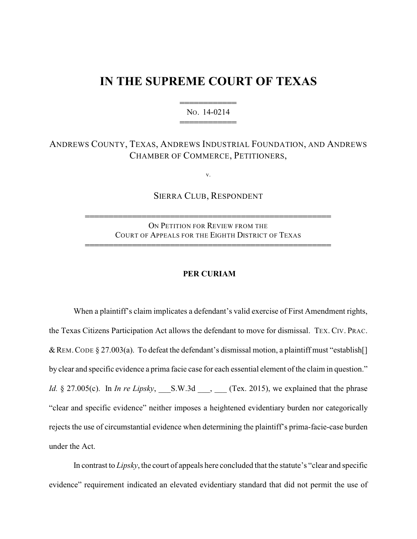## **IN THE SUPREME COURT OF TEXAS**

444444444444 NO. 14-0214 444444444444

## ANDREWS COUNTY, TEXAS, ANDREWS INDUSTRIAL FOUNDATION, AND ANDREWS CHAMBER OF COMMERCE, PETITIONERS,

v.

SIERRA CLUB, RESPONDENT

4444444444444444444444444444444444444444444444444444

ON PETITION FOR REVIEW FROM THE COURT OF APPEALS FOR THE EIGHTH DISTRICT OF TEXAS 4444444444444444444444444444444444444444444444444444

## **PER CURIAM**

When a plaintiff's claim implicates a defendant's valid exercise of First Amendment rights, the Texas Citizens Participation Act allows the defendant to move for dismissal. TEX. CIV. PRAC. & REM. CODE § 27.003(a). To defeat the defendant's dismissal motion, a plaintiff must "establish[] by clear and specific evidence a prima facie case for each essential element of the claim in question." *Id.* § 27.005(c). In *In re Lipsky*, S.W.3d \_\_\_, (Tex. 2015), we explained that the phrase "clear and specific evidence" neither imposes a heightened evidentiary burden nor categorically rejects the use of circumstantial evidence when determining the plaintiff's prima-facie-case burden under the Act.

In contrast to *Lipsky*, the court of appeals here concluded that the statute's "clear and specific evidence" requirement indicated an elevated evidentiary standard that did not permit the use of